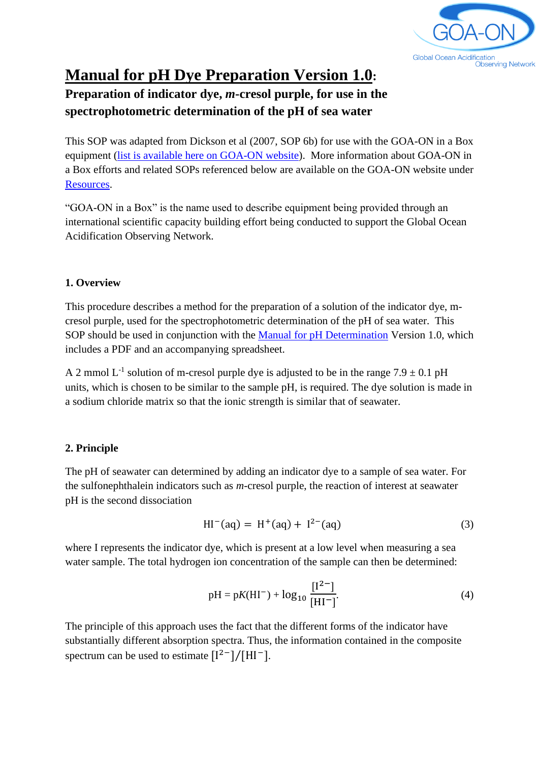

# **Manual for pH Dye Preparation Version 1.0:**

## **Preparation of indicator dye,** *m***-cresol purple, for use in the spectrophotometric determination of the pH of sea water**

This SOP was adapted from Dickson et al (2007, SOP 6b) for use with the GOA-ON in a Box equipment [\(list is available here on GOA-ON website\)](https://docs.google.com/spreadsheets/d/1urJvWj4ZwLG7NNwvebNYK6AstpFAsWW-YbtHTcJ8I_M/edit#gid=549840325). More information about GOA-ON in a Box efforts and related SOPs referenced below are available on the GOA-ON website under [Resources.](http://www.goa-on.org/resources/kits.php)

"GOA-ON in a Box" is the name used to describe equipment being provided through an international scientific capacity building effort being conducted to support the Global Ocean Acidification Observing Network.

#### **1. Overview**

This procedure describes a method for the preparation of a solution of the indicator dye, mcresol purple, used for the spectrophotometric determination of the pH of sea water. This SOP should be used in conjunction with the [Manual for pH Determination](http://www.goa-on.org/documents/kits/ph_determination_manual.pdf) Version 1.0, which includes a PDF and an accompanying spreadsheet.

A 2 mmol  $L^{-1}$  solution of m-cresol purple dye is adjusted to be in the range 7.9  $\pm$  0.1 pH units, which is chosen to be similar to the sample pH, is required. The dye solution is made in a sodium chloride matrix so that the ionic strength is similar that of seawater.

### **2. Principle**

The pH of seawater can determined by adding an indicator dye to a sample of sea water. For the sulfonephthalein indicators such as *m*-cresol purple, the reaction of interest at seawater pH is the second dissociation

$$
HI^{-}(aq) = H^{+}(aq) + I^{2-}(aq)
$$
 (3)

where I represents the indicator dye, which is present at a low level when measuring a sea water sample. The total hydrogen ion concentration of the sample can then be determined:

$$
pH = pK(HI^{-}) + log_{10} \frac{[I^{2-}]}{[HI^{-}]}.
$$
\n(4)

The principle of this approach uses the fact that the different forms of the indicator have substantially different absorption spectra. Thus, the information contained in the composite spectrum can be used to estimate  $[I^{2-}]/[HI^{-}]$ .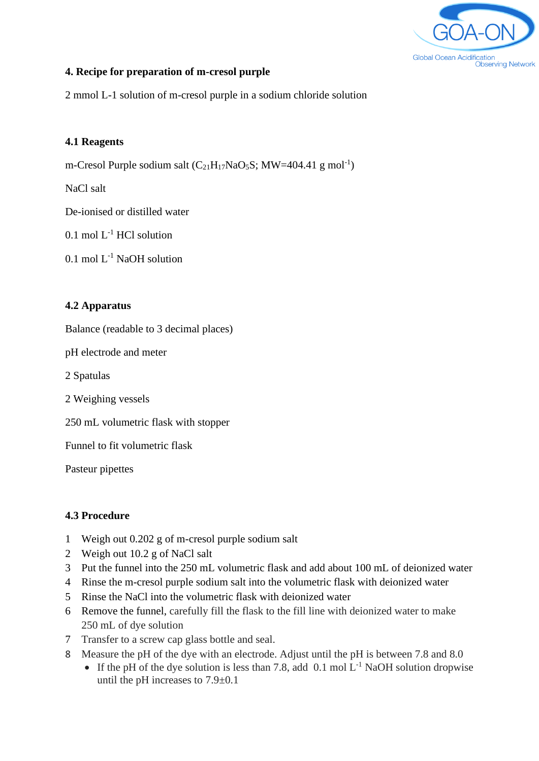

#### **4. Recipe for preparation of m-cresol purple**

2 mmol L-1 solution of m-cresol purple in a sodium chloride solution

#### **4.1 Reagents**

m-Cresol Purple sodium salt  $(C_{21}H_{17}NaO_5S; MW=404.41 g mol^{-1})$ 

NaCl salt

De-ionised or distilled water

 $0.1$  mol  $L^{-1}$  HCl solution

 $0.1$  mol  $L^{-1}$  NaOH solution

#### **4.2 Apparatus**

Balance (readable to 3 decimal places)

pH electrode and meter

2 Spatulas

2 Weighing vessels

250 mL volumetric flask with stopper

Funnel to fit volumetric flask

Pasteur pipettes

#### **4.3 Procedure**

- 1 Weigh out 0.202 g of m-cresol purple sodium salt
- 2 Weigh out 10.2 g of NaCl salt
- 3 Put the funnel into the 250 mL volumetric flask and add about 100 mL of deionized water
- 4 Rinse the m-cresol purple sodium salt into the volumetric flask with deionized water
- 5 Rinse the NaCl into the volumetric flask with deionized water
- 6 Remove the funnel, carefully fill the flask to the fill line with deionized water to make 250 mL of dye solution
- 7 Transfer to a screw cap glass bottle and seal.
- 8 Measure the pH of the dye with an electrode. Adjust until the pH is between 7.8 and 8.0
	- If the pH of the dye solution is less than 7.8, add  $(0.1 \text{ mol L}^{-1} \text{ NaOH}$  solution dropwise until the pH increases to 7.9±0.1